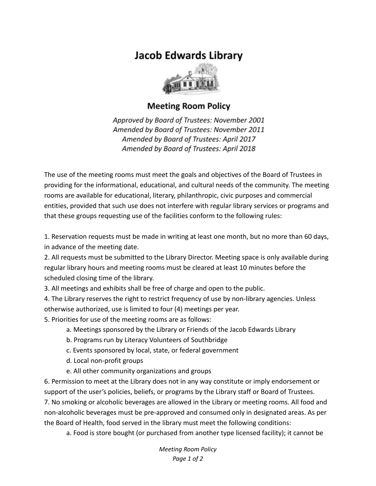## **Jacob Edwards Library**



## **Meeting Room Policy**

Approved by Board of Trustees: November 2001 Amended by Board of Trustees: November 2011 Amended by Board of Trustees: April 2017 Amended by Board of Trustees: April 2018

The use of the meeting rooms must meet the goals and objectives of the Board of Trustees in providing for the informational, educational, and cultural needs of the community. The meeting rooms are available for educational, literary, philanthropic, civic purposes and commercial entities, provided that such use does not interfere with regular library services or programs and that these groups requesting use of the facilities conform to the following rules:

1. Reservation requests must be made in writing at least one month, but no more than 60 days, in advance of the meeting date.

2. All requests must be submitted to the Library Director. Meeting space is only available during regular library hours and meeting rooms must be cleared at least 10 minutes before the scheduled closing time of the library.

3. All meetings and exhibits shall be free of charge and open to the public.

4. The Library reserves the right to restrict frequency of use by non-library agencies. Unless otherwise authorized, use is limited to four (4) meetings per year.

5. Priorities for use of the meeting rooms are as follows:

- a. Meetings sponsored by the Library or Friends of the Jacob Edwards Library
- b. Programs run by Literacy Volunteers of Southbridge
- c. Events sponsored by local, state, or federal government
- d. Local non-profit groups
- e. All other community organizations and groups

6. Permission to meet at the Library does not in any way constitute or imply endorsement or support of the user's policies, beliefs, or programs by the Library staff or Board of Trustees.

7. No smoking or alcoholic beverages are allowed in the Library or meeting rooms. All food and non-alcoholic beverages must be pre-approved and consumed only in designated areas. As per the Board of Health, food served in the library must meet the following conditions:

a. Food is store bought (or purchased from another type licensed facility); it cannot be

*Meeting Room Policy Page 1 of 2*